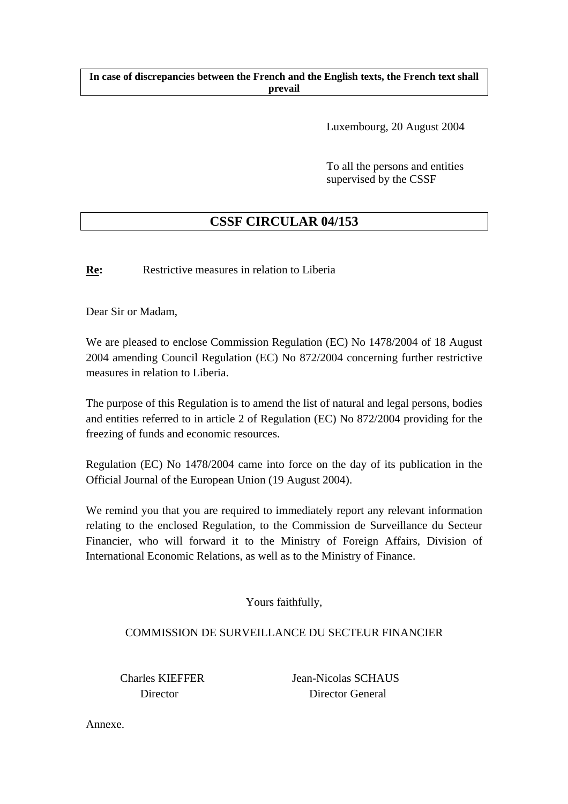## **In case of discrepancies between the French and the English texts, the French text shall prevail**

Luxembourg, 20 August 2004

To all the persons and entities supervised by the CSSF

# **CSSF CIRCULAR 04/153**

**Re:** Restrictive measures in relation to Liberia

Dear Sir or Madam,

We are pleased to enclose Commission Regulation (EC) No 1478/2004 of 18 August 2004 amending Council Regulation (EC) No 872/2004 concerning further restrictive measures in relation to Liberia.

The purpose of this Regulation is to amend the list of natural and legal persons, bodies and entities referred to in article 2 of Regulation (EC) No 872/2004 providing for the freezing of funds and economic resources.

Regulation (EC) No 1478/2004 came into force on the day of its publication in the Official Journal of the European Union (19 August 2004).

We remind you that you are required to immediately report any relevant information relating to the enclosed Regulation, to the Commission de Surveillance du Secteur Financier, who will forward it to the Ministry of Foreign Affairs, Division of International Economic Relations, as well as to the Ministry of Finance.

Yours faithfully,

# COMMISSION DE SURVEILLANCE DU SECTEUR FINANCIER

 Charles KIEFFER Jean-Nicolas SCHAUS Director Director General

Annexe.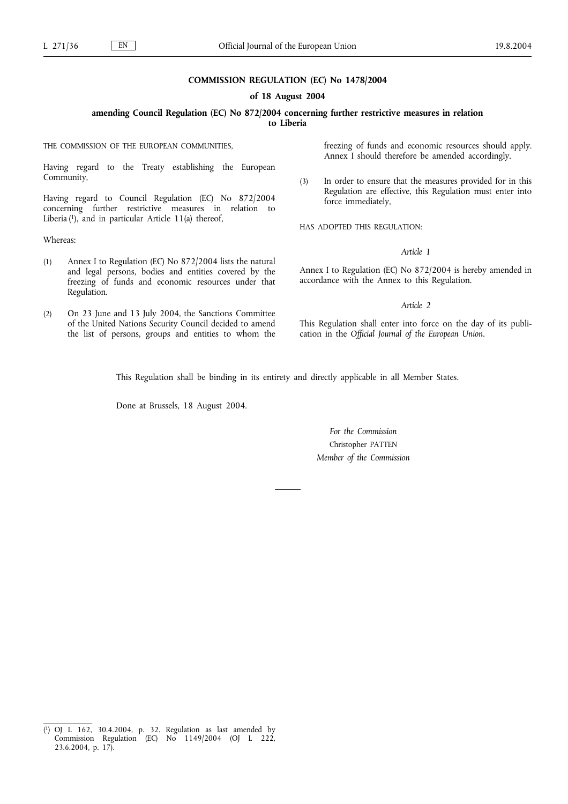#### **COMMISSION REGULATION (EC) No 1478/2004**

#### **of 18 August 2004**

#### **amending Council Regulation (EC) No 872/2004 concerning further restrictive measures in relation to Liberia**

THE COMMISSION OF THE EUROPEAN COMMUNITIES.

Having regard to the Treaty establishing the European Community,

Having regard to Council Regulation (EC) No 872/2004 concerning further restrictive measures in relation to Liberia  $(1)$ , and in particular Article 11 $(a)$  thereof,

Whereas:

- (1) Annex I to Regulation (EC) No 872/2004 lists the natural and legal persons, bodies and entities covered by the freezing of funds and economic resources under that Regulation.
- (2) On 23 June and 13 July 2004, the Sanctions Committee of the United Nations Security Council decided to amend the list of persons, groups and entities to whom the

freezing of funds and economic resources should apply. Annex I should therefore be amended accordingly.

(3) In order to ensure that the measures provided for in this Regulation are effective, this Regulation must enter into force immediately,

HAS ADOPTED THIS REGULATION:

#### *Article 1*

Annex I to Regulation (EC) No 872/2004 is hereby amended in accordance with the Annex to this Regulation.

#### *Article 2*

This Regulation shall enter into force on the day of its publication in the *Official Journal of the European Union*.

This Regulation shall be binding in its entirety and directly applicable in all Member States.

Done at Brussels, 18 August 2004.

### *For the Commission* Christopher PATTEN *Member of the Commission*

 $(1)$ 1) OJ L 162, 30.4.2004, p. 32. Regulation as last amended by Commission Regulation (EC) No 1149/2004 (OJ L 222, 23.6.2004, p. 17).